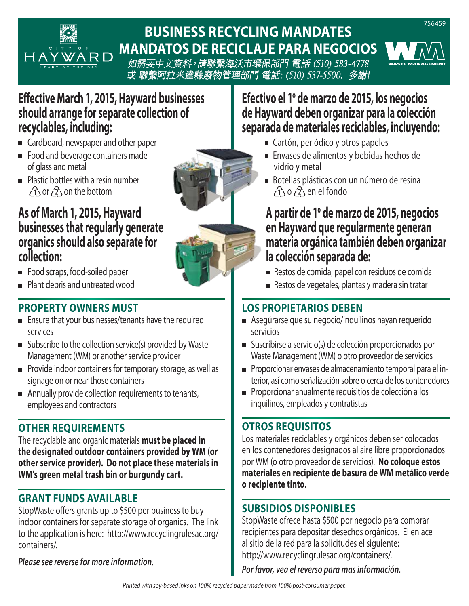

# **BUSINESS RECYCLING MANDATES MANDATOS DE RECICLAJE PARA NEGOCIOS**

如需要中文資料,請聯繫海沃市環保部門 電話 (510) 583-4778 或 聯繫阿拉米達縣廢物管理部門 電話: (510) 537-5500. 多謝!

## **Effective March 1, 2015, Hayward businesses should arrange for separate collection of recyclables, including:**

- Cardboard, newspaper and other paper
- **Food and beverage containers made** of glass and metal
- **Plastic bottles with a resin number**  $\{1, 0, 2\}$  on the bottom

#### **As of March 1, 2015, Hayward businesses that regularly generate organics should also separate for collection:**

- **Food scraps, food-soiled paper**
- Plant debris and untreated wood

#### **PROPERTY OWNERS MUST**

- **Ensure that your businesses/tenants have the required** services
- $\blacksquare$  Subscribe to the collection service(s) provided by Waste Management (WM) or another service provider
- Provide indoor containers for temporary storage, as well as signage on or near those containers
- Annually provide collection requirements to tenants, employees and contractors

#### **OTHER REQUIREMENTS**

The recyclable and organic materials **must be placed in the designated outdoor containers provided by WM (or other service provider). Do not place these materials in WM's green metal trash bin or burgundy cart.**

#### **GRANT FUNDS AVAILABLE**

StopWaste offers grants up to \$500 per business to buy indoor containers for separate storage of organics. The link to the application is here: http://www.recyclingrulesac.org/ containers/.

*Please see reverse for more information.* 

## Efectivo el 1º de marzo de 2015, los negocios **de Hayward deben organizar para la colección separada de materiales reciclables, incluyendo:**

- Cartón, periódico y otros papeles
- Envases de alimentos y bebidas hechos de vidrio y metal
- Botellas plásticas con un número de resina  $\{1, 0, 2\}$  en el fondo

# **A partir de 1o de marzo de 2015, negocios en Hayward que regularmente generan materia orgánica también deben organizar la colección separada de:**

- Restos de comida, papel con residuos de comida
- Restos de vegetales, plantas y madera sin tratar

## **LOS PROPIETARIOS DEBEN**

- Asegúrarse que su negocio/inquilinos hayan requerido servicios
- Suscríbirse a servicio(s) de colección proporcionados por Waste Management (WM) o otro proveedor de servicios
- Proporcionar envases de almacenamiento temporal para el interior, así como señalización sobre o cerca de los contenedores
- Proporcionar anualmente requisitios de colección a los inquilinos, empleados y contratistas

#### **OTROS REQUISITOS**

Los materiales reciclables y orgánicos deben ser colocados en los contenedores designados al aire libre proporcionados por WM (o otro proveedor de servicios). **No coloque estos materiales en recipiente de basura de WM metálico verde o recipiente tinto.**

## **SUBSIDIOS DISPONIBLES**

StopWaste ofrece hasta \$500 por negocio para comprar recipientes para depositar desechos orgánicos. El enlace al sitio de la red para la solicitudes el siguiente: http://www.recyclingrulesac.org/containers/.

*Por favor, vea el reverso para mas información.*